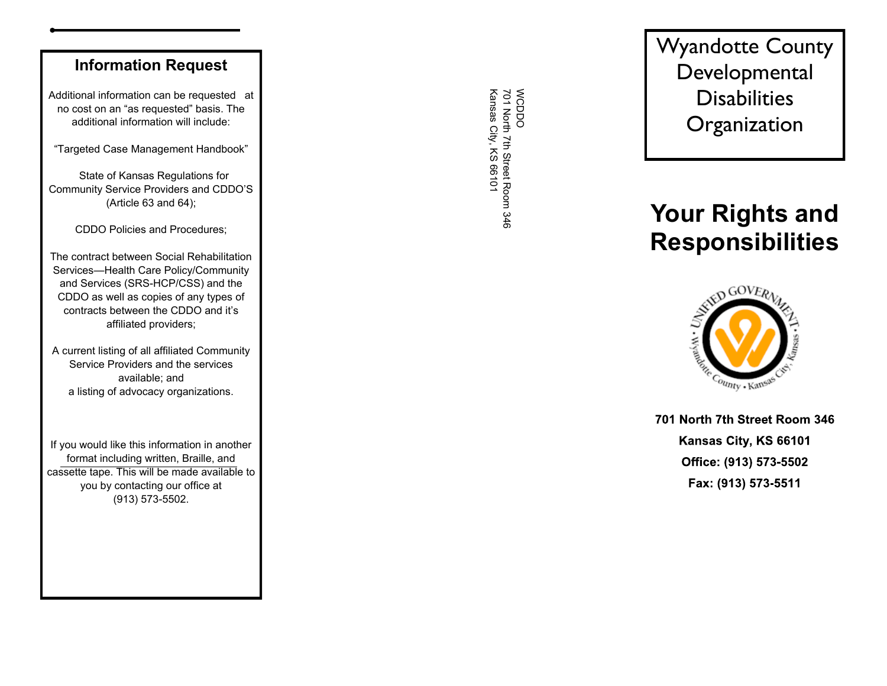### **Information Request**

Additional information can be requested at no cost on an "as requested" basis. The additional information will include:

"Targeted Case Management Handbook"

 State of Kansas Regulations for Community Service Providers and CDDO'S (Article 63 and 64);

CDDO Policies and Procedures;

The contract between Social Rehabilitation Services —Health Care Policy/Community and Services (SRS -HCP/CSS) and the CDDO as well as copies of any types of contracts between the CDDO and it's affiliated providers;

A current listing of all affiliated Community Service Providers and the services available; and a listing of advocacy organizations.

If you would like this information in another format including written, Braille, and cassette tape. This will be made available to you by contacting our office at (913) 573 -5502.

WCDDO<br>701 North 7th Street Room 346<br>Kansas City, KS 66101 Kansas City, KS 66101 701 North 7th Street Room 346 WCDDO

Wyandotte County Developmental **Disabilities Organization** 

# **Your Rights and Responsibilities**



701 North 7th Street Room 346 Kansas City, KS 66101 Office: (913) 573-5502 Fax: (913) 573-5511